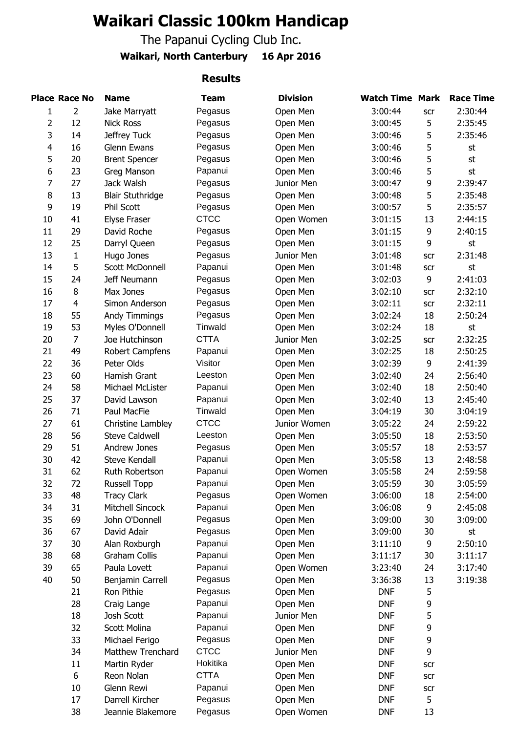## **Waikari Classic 100km Handicap**

The Papanui Cycling Club Inc.

### **Waikari, North Canterbury 16 Apr 2016**

#### **Results**

|                | <b>Place Race No</b> | <b>Name</b>              | <b>Team</b> | <b>Division</b> | <b>Watch Time Mark</b> |     | <b>Race Time</b> |
|----------------|----------------------|--------------------------|-------------|-----------------|------------------------|-----|------------------|
| 1              | $\overline{2}$       | Jake Marryatt            | Pegasus     | Open Men        | 3:00:44                | scr | 2:30:44          |
| 2              | 12                   | <b>Nick Ross</b>         | Pegasus     | Open Men        | 3:00:45                | 5   | 2:35:45          |
| 3              | 14                   | Jeffrey Tuck             | Pegasus     | Open Men        | 3:00:46                | 5   | 2:35:46          |
| $\overline{4}$ | 16                   | Glenn Ewans              | Pegasus     | Open Men        | 3:00:46                | 5   | st               |
| 5              | 20                   | <b>Brent Spencer</b>     | Pegasus     | Open Men        | 3:00:46                | 5   | st               |
| 6              | 23                   | Greg Manson              | Papanui     | Open Men        | 3:00:46                | 5   | st               |
| 7              | 27                   | Jack Walsh               | Pegasus     | Junior Men      | 3:00:47                | 9   | 2:39:47          |
| 8              | 13                   | <b>Blair Stuthridge</b>  | Pegasus     | Open Men        | 3:00:48                | 5   | 2:35:48          |
| 9              | 19                   | Phil Scott               | Pegasus     | Open Men        | 3:00:57                | 5   | 2:35:57          |
| 10             | 41                   | <b>Elyse Fraser</b>      | <b>CTCC</b> | Open Women      | 3:01:15                | 13  | 2:44:15          |
| 11             | 29                   | David Roche              | Pegasus     | Open Men        | 3:01:15                | 9   | 2:40:15          |
| 12             | 25                   | Darryl Queen             | Pegasus     | Open Men        | 3:01:15                | 9   | st               |
| 13             | $\mathbf{1}$         | Hugo Jones               | Pegasus     | Junior Men      | 3:01:48                | scr | 2:31:48          |
| 14             | 5                    | Scott McDonnell          | Papanui     | Open Men        | 3:01:48                | scr | st               |
| 15             | 24                   | Jeff Neumann             | Pegasus     | Open Men        | 3:02:03                | 9   | 2:41:03          |
| 16             | 8                    | Max Jones                | Pegasus     | Open Men        | 3:02:10                | scr | 2:32:10          |
| 17             | $\overline{4}$       | Simon Anderson           | Pegasus     | Open Men        | 3:02:11                | scr | 2:32:11          |
| 18             | 55                   | Andy Timmings            | Pegasus     | Open Men        | 3:02:24                | 18  | 2:50:24          |
| 19             | 53                   | Myles O'Donnell          | Tinwald     | Open Men        | 3:02:24                | 18  | st               |
| 20             | $\overline{7}$       | Joe Hutchinson           | <b>CTTA</b> | Junior Men      | 3:02:25                | scr | 2:32:25          |
| 21             | 49                   | Robert Campfens          | Papanui     | Open Men        | 3:02:25                | 18  | 2:50:25          |
| 22             | 36                   | Peter Olds               | Visitor     | Open Men        | 3:02:39                | 9   | 2:41:39          |
| 23             | 60                   | Hamish Grant             | Leeston     | Open Men        | 3:02:40                | 24  | 2:56:40          |
| 24             | 58                   | Michael McLister         | Papanui     | Open Men        | 3:02:40                | 18  | 2:50:40          |
| 25             | 37                   | David Lawson             | Papanui     | Open Men        | 3:02:40                | 13  | 2:45:40          |
| 26             | 71                   | Paul MacFie              | Tinwald     | Open Men        | 3:04:19                | 30  | 3:04:19          |
| 27             | 61                   | Christine Lambley        | <b>CTCC</b> | Junior Women    | 3:05:22                | 24  | 2:59:22          |
| 28             | 56                   | <b>Steve Caldwell</b>    | Leeston     | Open Men        | 3:05:50                | 18  | 2:53:50          |
| 29             | 51                   | Andrew Jones             | Pegasus     | Open Men        | 3:05:57                | 18  | 2:53:57          |
| 30             | 42                   | Steve Kendall            | Papanui     | Open Men        | 3:05:58                | 13  | 2:48:58          |
| 31             | 62                   | Ruth Robertson           | Papanui     | Open Women      | 3:05:58                | 24  | 2:59:58          |
| 32             | 72                   | <b>Russell Topp</b>      | Papanui     | Open Men        | 3:05:59                | 30  | 3:05:59          |
| 33             | 48                   | <b>Tracy Clark</b>       | Pegasus     | Open Women      | 3:06:00                | 18  | 2:54:00          |
| 34             | 31                   | Mitchell Sincock         | Papanui     | Open Men        | 3:06:08                | 9   | 2:45:08          |
| 35             | 69                   | John O'Donnell           | Pegasus     | Open Men        | 3:09:00                | 30  | 3:09:00          |
| 36             | 67                   | David Adair              | Pegasus     | Open Men        | 3:09:00                | 30  | st               |
| 37             | 30                   | Alan Roxburgh            | Papanui     | Open Men        | 3:11:10                | 9   | 2:50:10          |
| 38             | 68                   | <b>Graham Collis</b>     | Papanui     | Open Men        | 3:11:17                | 30  | 3:11:17          |
| 39             | 65                   | Paula Lovett             | Papanui     | Open Women      | 3:23:40                | 24  | 3:17:40          |
| 40             | 50                   | Benjamin Carrell         | Pegasus     | Open Men        | 3:36:38                | 13  | 3:19:38          |
|                | 21                   | Ron Pithie               | Pegasus     | Open Men        | <b>DNF</b>             | 5   |                  |
|                | 28                   | Craig Lange              | Papanui     | Open Men        | <b>DNF</b>             | 9   |                  |
|                | 18                   | Josh Scott               | Papanui     | Junior Men      | <b>DNF</b>             | 5   |                  |
|                | 32                   | Scott Molina             | Papanui     | Open Men        | <b>DNF</b>             | 9   |                  |
|                | 33                   | Michael Ferigo           | Pegasus     | Open Men        | <b>DNF</b>             | 9   |                  |
|                | 34                   | <b>Matthew Trenchard</b> | <b>CTCC</b> | Junior Men      | <b>DNF</b>             | 9   |                  |
|                | 11                   | Martin Ryder             | Hokitika    | Open Men        | <b>DNF</b>             | scr |                  |
|                | 6                    | Reon Nolan               | <b>CTTA</b> | Open Men        | <b>DNF</b>             | scr |                  |
|                | 10                   | Glenn Rewi               | Papanui     | Open Men        | <b>DNF</b>             | scr |                  |
|                | 17                   | Darrell Kircher          | Pegasus     | Open Men        | <b>DNF</b>             | 5   |                  |
|                | 38                   | Jeannie Blakemore        | Pegasus     | Open Women      | <b>DNF</b>             | 13  |                  |
|                |                      |                          |             |                 |                        |     |                  |